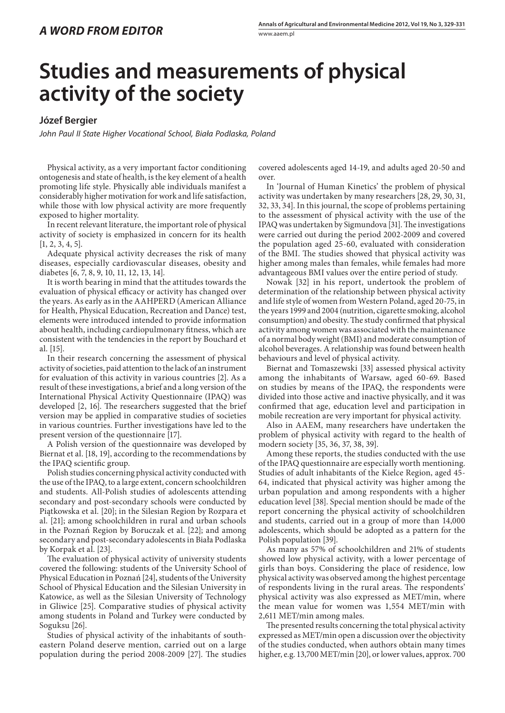## **Studies and measurements of physical activity of the society**

## **Józef Bergier**

*John Paul II State Higher Vocational School, Biała Podlaska, Poland*

Physical activity, as a very important factor conditioning ontogenesis and state of health, is the key element of a health promoting life style. Physically able individuals manifest a considerably higher motivation for work and life satisfaction, while those with low physical activity are more frequently exposed to higher mortality.

In recent relevant literature, the important role of physical activity of society is emphasized in concern for its health  $[1, 2, 3, 4, 5].$ 

Adequate physical activity decreases the risk of many diseases, especially cardiovascular diseases, obesity and diabetes [6, 7, 8, 9, 10, 11, 12, 13, 14].

It is worth bearing in mind that the attitudes towards the evaluation of physical efficacy or activity has changed over the years. As early as in the AAHPERD (American Alliance for Health, Physical Education, Recreation and Dance) test, elements were introduced intended to provide information about health, including cardiopulmonary fitness, which are consistent with the tendencies in the report by Bouchard et al. [15].

In their research concerning the assessment of physical activity of societies, paid attention to the lack of an instrument for evaluation of this activity in various countries [2]. As a result of these investigations, a brief and a long version of the International Physical Activity Questionnaire (IPAQ) was developed [2, 16]. The researchers suggested that the brief version may be applied in comparative studies of societies in various countries. Further investigations have led to the present version of the questionnaire [17].

A Polish version of the questionnaire was developed by Biernat et al. [18, 19], according to the recommendations by the IPAQ scientific group.

Polish studies concerning physical activity conducted with the use of the IPAQ, to a large extent, concern schoolchildren and students. All-Polish studies of adolescents attending secondary and post-secondary schools were conducted by Piątkowska et al. [20]; in the Silesian Region by Rozpara et al. [21]; among schoolchildren in rural and urban schools in the Poznań Region by Boruczak et al. [22]; and among secondary and post-secondary adolescents in Biała Podlaska by Korpak et al. [23].

The evaluation of physical activity of university students covered the following: students of the University School of Physical Education in Poznań [24], students of the University School of Physical Education and the Silesian University in Katowice, as well as the Silesian University of Technology in Gliwice [25]. Comparative studies of physical activity among students in Poland and Turkey were conducted by Soguksu [26].

Studies of physical activity of the inhabitants of southeastern Poland deserve mention, carried out on a large population during the period 2008-2009 [27]. The studies

covered adolescents aged 14-19, and adults aged 20-50 and over.

In 'Journal of Human Kinetics' the problem of physical activity was undertaken by many researchers [28, 29, 30, 31, 32, 33, 34]. In this journal, the scope of problems pertaining to the assessment of physical activity with the use of the IPAQ was undertaken by Sigmundova [31]. The investigations were carried out during the period 2002-2009 and covered the population aged 25-60, evaluated with consideration of the BMI. The studies showed that physical activity was higher among males than females, while females had more advantageous BMI values over the entire period of study.

Nowak [32] in his report, undertook the problem of determination of the relationship between physical activity and life style of women from Western Poland, aged 20-75, in the years 1999 and 2004 (nutrition, cigarette smoking, alcohol consumption) and obesity. The study confirmed that physical activity among women was associated with the maintenance of a normal body weight (BMI) and moderate consumption of alcohol beverages. A relationship was found between health behaviours and level of physical activity.

Biernat and Tomaszewski [33] assessed physical activity among the inhabitants of Warsaw, aged 60-69. Based on studies by means of the IPAQ, the respondents were divided into those active and inactive physically, and it was confirmed that age, education level and participation in mobile recreation are very important for physical activity.

Also in AAEM, many researchers have undertaken the problem of physical activity with regard to the health of modern society [35, 36, 37, 38, 39].

Among these reports, the studies conducted with the use of the IPAQ questionnaire are especially worth mentioning. Studies of adult inhabitants of the Kielce Region, aged 45- 64, indicated that physical activity was higher among the urban population and among respondents with a higher education level [38]. Special mention should be made of the report concerning the physical activity of schoolchildren and students, carried out in a group of more than 14,000 adolescents, which should be adopted as a pattern for the Polish population [39].

As many as 57% of schoolchildren and 21% of students showed low physical activity, with a lower percentage of girls than boys. Considering the place of residence, low physical activity was observed among the highest percentage of respondents living in the rural areas. The respondents' physical activity was also expressed as MET/min, where the mean value for women was 1,554 MET/min with 2,611 MET/min among males.

The presented results concerning the total physical activity expressed as MET/min open a discussion over the objectivity of the studies conducted, when authors obtain many times higher, e.g. 13,700 MET/min [20], or lower values, approx. 700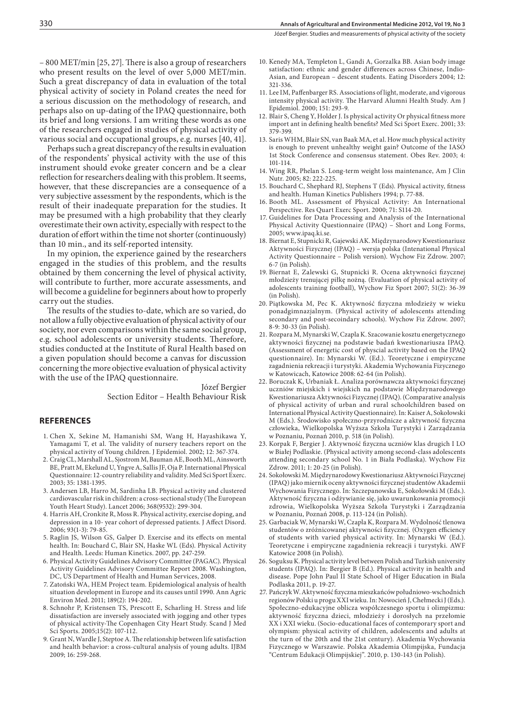– 800 MET/min [25, 27]. There is also a group of researchers who present results on the level of over 5,000 MET/min. Such a great discrepancy of data in evaluation of the total physical activity of society in Poland creates the need for a serious discussion on the methodology of research, and perhaps also on up-dating of the IPAQ questionnaire, both its brief and long versions. I am writing these words as one of the researchers engaged in studies of physical activity of various social and occupational groups, e.g. nurses [40, 41].

Perhaps such a great discrepancy of the results in evaluation of the respondents' physical activity with the use of this instrument should evoke greater concern and be a clear reflection for researchers dealing with this problem. It seems, however, that these discrepancies are a consequence of a very subjective assessment by the respondents, which is the result of their inadequate preparation for the studies. It may be presumed with a high probability that they clearly overestimate their own activity, especially with respect to the duration of effort within the time not shorter (continuously) than 10 min., and its self-reported intensity.

In my opinion, the experience gained by the researchers engaged in the studies of this problem, and the results obtained by them concerning the level of physical activity, will contribute to further, more accurate assessments, and will become a guideline for beginners about how to properly carry out the studies.

The results of the studies to-date, which are so varied, do not allow a fully objective evaluation of physical activity of our society, nor even comparisons within the same social group, e.g. school adolescents or university students. Therefore, studies conducted at the Institute of Rural Health based on a given population should become a canvas for discussion concerning the more objective evaluation of physical activity with the use of the IPAQ questionnaire.

> Józef Bergier Section Editor – Health Behaviour Risk

## **References**

- 1. Chen X, Sekine M, Hamanishi SM, Wang H, Hayashikawa Y, Yamagami T, et al. The validity of nursery teachers report on the physical activity of Young children. J Epidemiol. 2002; 12: 367-374.
- 2. Craig CL, Marshall AL, Sjostrom M, Bauman AE, Booth ML, Ainsworth BE, Pratt M, Ekelund U, Yngve A, Sallis JF, Oja P. International Physical Questionnaire: 12-country reliability and validity. Med Sci Sport Exerc. 2003; 35: 1381-1395.
- 3. Andersen LB, Harro M, Sardinha LB. Physical activity and clustered cardiovascular risk in children: a cross-sectional study (The European Youth Heart Study). Lancet 2006; 368(9532): 299-304.
- 4. Harris AH, Cronkite R, Moss R. Physical activity, exercise doping, and depression in a 10- year cohort of depressed patients. J Affect Disord. 2006; 93(1-3): 79-85.
- 5. Raglin JS, Wilson GS, Galper D. Exercise and its effects on mental health. In: Bouchard C, Blair SN, Haske WL (Eds). Physical Activity and Health. Leeds: Human Kinetics. 2007, pp. 247-259.
- 6. Physical Activity Guidelines Advisory Committee (PAGAC). Physical Activity Guidelines Advisory Committee Report 2008. Washington, DC, US Department of Health and Human Services, 2008.
- 7. Zatoński WA, HEM Project team. Epidemiological analysis of health situation development in Europe and its causes until 1990. Ann Agric Environ Med. 2011; 189(2): 194-202.
- 8. Schnohr P, Kristensen TS, Prescott E, Scharling H. Stress and life dissatisfaction are inversely associated with jogging and other types of physical activity-The Copenhagen City Heart Study. Scand J Med Sci Sports. 2005;15(2): 107-112.
- 9. Grant N, Wardle J, Steptoe A. The relationship between life satisfaction and health behavior: a cross-cultural analysis of young adults. IJBM 2009; 16: 259-268.
- 10. Kenedy MA, Templeton L, Gandi A, Gorzalka BB. Asian body image satisfaction: ethnic and gender differences across Chinese, Indio-Asian, and European – descent students. Eating Disorders 2004; 12: 321-336.
- 11. Lee IM, Paffenbarger RS. Associations of light, moderate, and vigorous intensity physical activity. The Harvard Alumni Health Study. Am J Epidemiol. 2000; 151: 293-9.
- 12. Blair S, Cheng Y, Holder J. Is physical activity Or physical fitness more import ant in defining health benefits? Med Sci Sport Exerc. 2001; 33: 379-399.
- 13. Saris WHM, Blair SN, van Baak MA, et al. How much physical activity is enough to prevent unhealthy weight gain? Outcome of the IASO 1st Stock Conference and consensus statement. Obes Rev. 2003; 4: 101-114.
- 14. Wing RR, Phelan S. Long-term weight loss maintenance, Am J Clin Nutr. 2005; 82: 222-225.
- 15. Bouchard C, Shephard RJ, Stephens T (Eds). Physical activity, fitness and health. Human Kinetics Publishers 1994; p. 77-88.
- 16. Booth ML. Assessment of Physical Activity: An International Perspective. Res Quart Exerc Sport. 2000; 71: S114-20.
- 17. Guidelines for Data Processing and Analysis of the International Physical Activity Questionnaire (IPAQ) – Short and Long Forms, 2005; www.ipaq.ki.se.
- 18. Biernat E, Stupnicki R, Gajewski AK. Międzynarodowy Kwestionariusz Aktywności Fizycznej (IPAQ) – wersja polska (Intenational Physical Activity Questionnaire – Polish version). Wychow Fiz Zdrow. 2007; 6-7 (in Polish).
- 19. Biernat E, Zalewski G, Stupnicki R. Ocena aktywności fizycznej młodzieży trenującej piłkę nożną. (Evaluation of physical activity of adolescents training football), Wychow Fiz Sport 2007; 51(2): 36-39 (in Polish).
- 20. Piątkowska M, Pec K. Aktywność fizyczna młodzieży w wieku ponadgimnazjalnym. (Physical activity of adolescents attending secondary and post-secoindary schools). Wychow Fiz Zdrow. 2007; 8-9: 30-33 (in Polish).
- 21. Rozpara M, Mynarski W, Czapla K. Szacowanie kosztu energetycznego aktywności fizycznej na podstawie badań kwestionariusza IPAQ. (Assessment of energetic cost of physcial activity based on the IPAQ questionnaire). In: Mynarski W. (Ed.). Teoretyczne i empiryczne zagadnienia rekreacji i turystyki. Akademia Wychowania Fizycznego w Katowicach, Katowice 2008: 62-64 (in Polish).
- 22. Boruczak K, Urbaniak Ł. Analiza porównawcza aktywności fizycznej uczniów miejskich i wiejskich na podstawie Międzynarodowego Kwestionariusza Aktywności Fizycznej (IPAQ). (Comparative analysis of physical activity of urban and rural schoolchildren based on International Physical Activity Questionnaire). In: Kaiser A, Sokołowski M (Eds.). Środowisko społeczno-przyrodnicze a aktywność fizyczna człowieka, Wielkopolska Wyższa Szkoła Turystyki i Zarządzania w Poznaniu, Poznań 2010, p. 518 (in Polish).
- 23. Korpak F, Bergier J. Aktywność fizyczna uczniów klas drugich I LO w Białej Podlaskie. (Physical activity among second-class adolescents attending secondary school No. 1 in Biała Podlaska). Wychow Fiz Zdrow. 2011; 1: 20-25 (in Polish).
- 24. Sokołowski M. Międzynarodowy Kwestionariusz Aktywności Fizycznej (IPAQ) jako miernik oceny aktywności fizycznej studentów Akademii Wychowania Fizycznego. In: Szczepanowska E, Sokołowski M (Eds.). Aktywność fizyczna i odżywianie się, jako uwarunkowania promocji zdrowia, Wielkopolska Wyższa Szkoła Turystyki i Zarządzania w Poznaniu, Poznań 2008, p. 113-124 (in Polish).
- 25. Garbaciak W, Mynarski W, Czapla K, Rozpara M. Wydolność tlenowa studentów o zróżnicowanej aktywności fizycznej. (Oxygen efficiency of students with varied physical activity. In: Mynarski W (Ed.). Teoretyczne i empiryczne zagadnienia rekreacji i turystyki. AWF Katowice 2008 (in Polish).
- 26. Soguksu K. Physical activity level between Polish and Turkish university students (IPAQ). In: Bergier B (Ed.). Physical activity in health and disease. Pope John Paul II State School of Higer Education in Biala Podlaska 2011, p. 19-27.
- 27. Pańczyk W. Aktywność fizyczna mieszkańców południowo-wschodnich regionów Polski u progu XXI wieku. In: Nowocień J, Chełmecki J (Eds.). Społeczno-edukacyjne oblicza współczesnego sportu i olimpizmu: aktywność fizyczna dzieci, młodzieży i dorosłych na przełomie XX i XXI wieku. (Socio-educational faces of contemporary sport and olympism: physical activity of children, adolescents and adults at the turn of the 20th and the 21st century). Akademia Wychowania Fizycznego w Warszawie. Polska Akademia Olimpijska, Fundacja "Centrum Edukacji Olimpijskiej". 2010, p. 130-143 (in Polish).